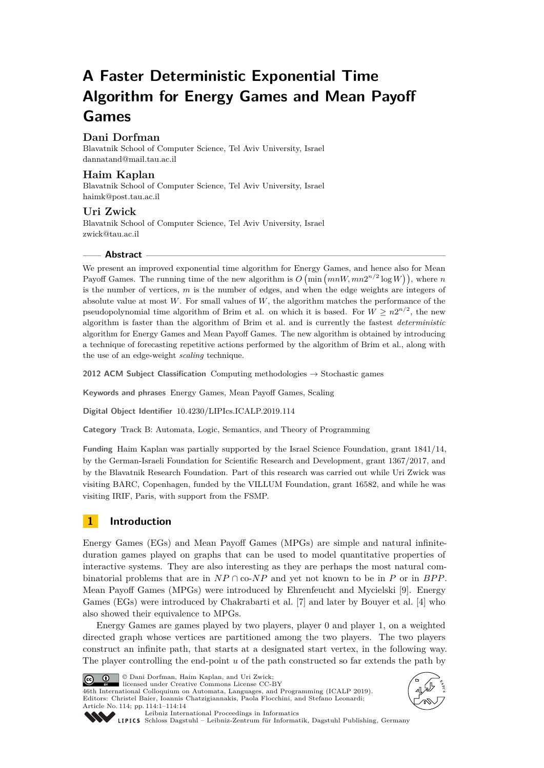# **A Faster Deterministic Exponential Time Algorithm for Energy Games and Mean Payoff Games**

# **Dani Dorfman**

Blavatnik School of Computer Science, Tel Aviv University, Israel [dannatand@mail.tau.ac.il](mailto:dannatand@mail.tau.ac.il)

## **Haim Kaplan**

Blavatnik School of Computer Science, Tel Aviv University, Israel [haimk@post.tau.ac.il](mailto:haimk@post.tau.ac.il)

## **Uri Zwick**

Blavatnik School of Computer Science, Tel Aviv University, Israel [zwick@tau.ac.il](mailto:zwick@tau.ac.il)

## **Abstract**

We present an improved exponential time algorithm for Energy Games, and hence also for Mean Payoff Games. The running time of the new algorithm is  $O(min(mW, mn2^{n/2} \log W))$ , where *n* is the number of vertices, *m* is the number of edges, and when the edge weights are integers of absolute value at most *W*. For small values of *W*, the algorithm matches the performance of the pseudopolynomial time algorithm of Brim et al. on which it is based. For  $W \geq n2^{n/2}$ , the new algorithm is faster than the algorithm of Brim et al. and is currently the fastest *deterministic* algorithm for Energy Games and Mean Payoff Games. The new algorithm is obtained by introducing a technique of forecasting repetitive actions performed by the algorithm of Brim et al., along with the use of an edge-weight *scaling* technique.

**2012 ACM Subject Classification** Computing methodologies → Stochastic games

**Keywords and phrases** Energy Games, Mean Payoff Games, Scaling

**Digital Object Identifier** [10.4230/LIPIcs.ICALP.2019.114](https://doi.org/10.4230/LIPIcs.ICALP.2019.114)

**Category** Track B: Automata, Logic, Semantics, and Theory of Programming

**Funding** Haim Kaplan was partially supported by the Israel Science Foundation, grant 1841/14, by the German-Israeli Foundation for Scientific Research and Development, grant 1367/2017, and by the Blavatnik Research Foundation. Part of this research was carried out while Uri Zwick was visiting BARC, Copenhagen, funded by the VILLUM Foundation, grant 16582, and while he was visiting IRIF, Paris, with support from the FSMP.

# **1 Introduction**

Energy Games (EGs) and Mean Payoff Games (MPGs) are simple and natural infiniteduration games played on graphs that can be used to model quantitative properties of interactive systems. They are also interesting as they are perhaps the most natural combinatorial problems that are in  $NP \cap co-NP$  and yet not known to be in *P* or in *BPP*. Mean Payoff Games (MPGs) were introduced by Ehrenfeucht and Mycielski [\[9\]](#page-12-0). Energy Games (EGs) were introduced by Chakrabarti et al. [\[7\]](#page-12-1) and later by Bouyer et al. [\[4\]](#page-12-2) who also showed their equivalence to MPGs.

Energy Games are games played by two players, player 0 and player 1, on a weighted directed graph whose vertices are partitioned among the two players. The two players construct an infinite path, that starts at a designated start vertex, in the following way. The player controlling the end-point *u* of the path constructed so far extends the path by



© Dani Dorfman, Haim Kaplan, and Uri Zwick; licensed under Creative Commons License CC-BY

46th International Colloquium on Automata, Languages, and Programming (ICALP 2019). Editors: Christel Baier, Ioannis Chatzigiannakis, Paola Flocchini, and Stefano Leonardi; Article No. 114; pp. 114:1–114[:14](#page-13-0)





[Leibniz International Proceedings in Informatics](https://www.dagstuhl.de/lipics/)

[Schloss Dagstuhl – Leibniz-Zentrum für Informatik, Dagstuhl Publishing, Germany](https://www.dagstuhl.de)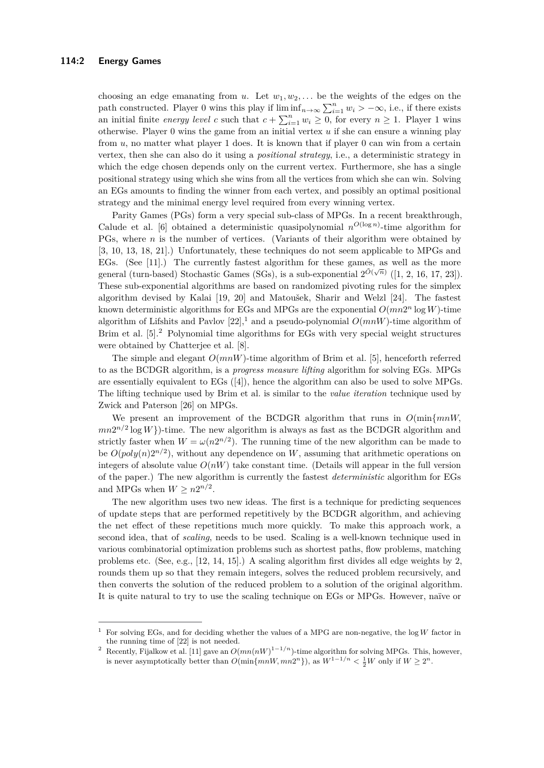choosing an edge emanating from *u*. Let  $w_1, w_2, \ldots$  be the weights of the edges on the path constructed. Player 0 wins this play if  $\liminf_{n\to\infty}\sum_{i=1}^n w_i > -\infty$ , i.e., if there exists an initial finite *energy level c* such that  $c + \sum_{i=1}^{n} w_i \geq 0$ , for every  $n \geq 1$ . Player 1 wins otherwise. Player 0 wins the game from an initial vertex *u* if she can ensure a winning play from *u*, no matter what player 1 does. It is known that if player 0 can win from a certain vertex, then she can also do it using a *positional strategy*, i.e., a deterministic strategy in which the edge chosen depends only on the current vertex. Furthermore, she has a single positional strategy using which she wins from all the vertices from which she can win. Solving an EGs amounts to finding the winner from each vertex, and possibly an optimal positional strategy and the minimal energy level required from every winning vertex.

Parity Games (PGs) form a very special sub-class of MPGs. In a recent breakthrough, Calude et al. [\[6\]](#page-12-3) obtained a deterministic quasipolynomial  $n^{O(\log n)}$ -time algorithm for PGs, where *n* is the number of vertices. (Variants of their algorithm were obtained by [\[3,](#page-12-4) [10,](#page-12-5) [13,](#page-12-6) [18,](#page-13-1) [21\]](#page-13-2).) Unfortunately, these techniques do not seem applicable to MPGs and EGs. (See [\[11\]](#page-12-7).) The currently fastest algorithm for these games, as well as the more general (turn-based) Stochastic Games (SGs), is a sub-exponential  $2^{\tilde{O}(\sqrt{n})}$  ([\[1,](#page-12-8) [2,](#page-12-9) [16,](#page-13-3) [17,](#page-13-4) [23\]](#page-13-5)). These sub-exponential algorithms are based on randomized pivoting rules for the simplex algorithm devised by Kalai [\[19,](#page-13-6) [20\]](#page-13-7) and Matoušek, Sharir and Welzl [\[24\]](#page-13-8). The fastest known deterministic algorithms for EGs and MPGs are the exponential  $O(mn2^n \log W)$ -time algorithm of Lifshits and Pavlov  $[22]$ ,<sup>[1](#page-1-0)</sup> and a pseudo-polynomial  $O(mnW)$ -time algorithm of Brim et al. [\[5\]](#page-12-10).<sup>[2](#page-1-1)</sup> Polynomial time algorithms for EGs with very special weight structures were obtained by Chatterjee et al. [\[8\]](#page-12-11).

The simple and elegant *O*(*mnW*)-time algorithm of Brim et al. [\[5\]](#page-12-10), henceforth referred to as the BCDGR algorithm, is a *progress measure lifting* algorithm for solving EGs. MPGs are essentially equivalent to EGs ([\[4\]](#page-12-2)), hence the algorithm can also be used to solve MPGs. The lifting technique used by Brim et al. is similar to the *value iteration* technique used by Zwick and Paterson [\[26\]](#page-13-10) on MPGs.

We present an improvement of the BCDGR algorithm that runs in *O*(min{*mnW,*  $mn2^{n/2}\log W$ })-time. The new algorithm is always as fast as the BCDGR algorithm and strictly faster when  $W = \omega(n2^{n/2})$ . The running time of the new algorithm can be made to be  $O(poly(n)2^{n/2})$ , without any dependence on *W*, assuming that arithmetic operations on integers of absolute value  $O(nW)$  take constant time. (Details will appear in the full version of the paper.) The new algorithm is currently the fastest *deterministic* algorithm for EGs and MPGs when  $W \geq n2^{n/2}$ .

The new algorithm uses two new ideas. The first is a technique for predicting sequences of update steps that are performed repetitively by the BCDGR algorithm, and achieving the net effect of these repetitions much more quickly. To make this approach work, a second idea, that of *scaling*, needs to be used. Scaling is a well-known technique used in various combinatorial optimization problems such as shortest paths, flow problems, matching problems etc. (See, e.g., [\[12,](#page-12-12) [14,](#page-12-13) [15\]](#page-12-14).) A scaling algorithm first divides all edge weights by 2, rounds them up so that they remain integers, solves the reduced problem recursively, and then converts the solution of the reduced problem to a solution of the original algorithm. It is quite natural to try to use the scaling technique on EGs or MPGs. However, naïve or

<span id="page-1-0"></span><sup>1</sup> For solving EGs, and for deciding whether the values of a MPG are non-negative, the log *W* factor in the running time of [\[22\]](#page-13-9) is not needed.

<span id="page-1-1"></span><sup>&</sup>lt;sup>2</sup> Recently, Fijalkow et al. [\[11\]](#page-12-7) gave an  $O(mn(nW)^{1-1/n})$ -time algorithm for solving MPGs. This, however, is never asymptotically better than  $O(\min\{mnW, mn2^n\})$ , as  $W^{1-1/n} < \frac{1}{2}W$  only if  $W \ge 2^n$ .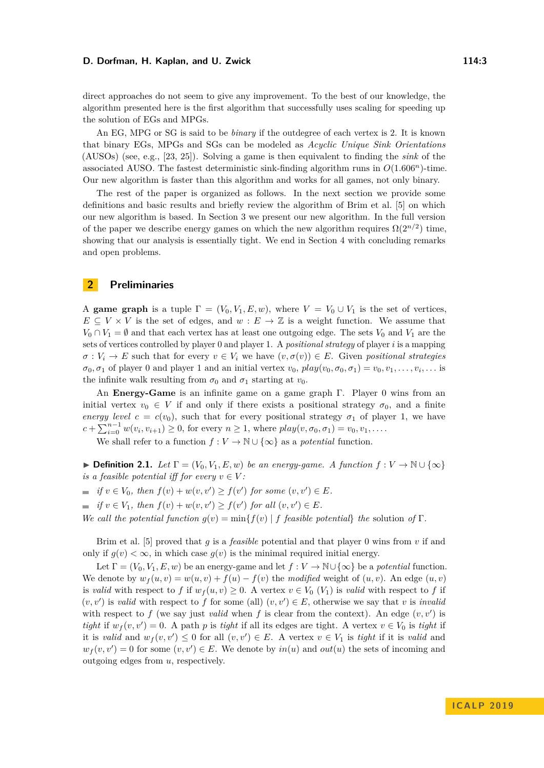direct approaches do not seem to give any improvement. To the best of our knowledge, the algorithm presented here is the first algorithm that successfully uses scaling for speeding up the solution of EGs and MPGs.

An EG, MPG or SG is said to be *binary* if the outdegree of each vertex is 2. It is known that binary EGs, MPGs and SGs can be modeled as *Acyclic Unique Sink Orientations* (AUSOs) (see, e.g., [\[23,](#page-13-5) [25\]](#page-13-11)). Solving a game is then equivalent to finding the *sink* of the associated AUSO. The fastest deterministic sink-finding algorithm runs in  $O(1.606<sup>n</sup>)$ -time. Our new algorithm is faster than this algorithm and works for all games, not only binary.

The rest of the paper is organized as follows. In the next section we provide some definitions and basic results and briefly review the algorithm of Brim et al. [\[5\]](#page-12-10) on which our new algorithm is based. In Section [3](#page-4-0) we present our new algorithm. In the full version of the paper we describe energy games on which the new algorithm requires  $\Omega(2^{n/2})$  time, showing that our analysis is essentially tight. We end in Section [4](#page-11-0) with concluding remarks and open problems.

# **2 Preliminaries**

A **game graph** is a tuple  $\Gamma = (V_0, V_1, E, w)$ , where  $V = V_0 \cup V_1$  is the set of vertices,  $E \subseteq V \times V$  is the set of edges, and  $w : E \to \mathbb{Z}$  is a weight function. We assume that  $V_0 \cap V_1 = \emptyset$  and that each vertex has at least one outgoing edge. The sets  $V_0$  and  $V_1$  are the sets of vertices controlled by player 0 and player 1. A *positional strategy* of player *i* is a mapping  $\sigma: V_i \to E$  such that for every  $v \in V_i$  we have  $(v, \sigma(v)) \in E$ . Given *positional strategies*  $\sigma_0, \sigma_1$  of player 0 and player 1 and an initial vertex  $v_0$ ,  $play(v_0, \sigma_0, \sigma_1) = v_0, v_1, \ldots, v_i, \ldots$  is the infinite walk resulting from  $\sigma_0$  and  $\sigma_1$  starting at  $v_0$ .

An **Energy-Game** is an infinite game on a game graph Γ. Player 0 wins from an initial vertex  $v_0 \in V$  if and only if there exists a positional strategy  $\sigma_0$ , and a finite *energy level*  $c = c(v_0)$ , such that for every positional strategy  $\sigma_1$  of player 1, we have  $c + \sum_{i=0}^{n-1} w(v_i, v_{i+1}) \ge 0$ , for every  $n \ge 1$ , where  $play(v, \sigma_0, \sigma_1) = v_0, v_1, \ldots$ .

We shall refer to a function  $f: V \to \mathbb{N} \cup \{\infty\}$  as a *potential* function.

**► Definition 2.1.** *Let*  $\Gamma = (V_0, V_1, E, w)$  *be an energy-game.* A function  $f: V \to \mathbb{N} \cup \{\infty\}$ *is a feasible potential iff for every*  $v \in V$ :

- *if*  $v \in V_0$ *, then*  $f(v) + w(v, v') \ge f(v')$  *for some*  $(v, v') \in E$ *.*
- *if*  $v \in V_1$ *, then*  $f(v) + w(v, v') \ge f(v')$  *for all*  $(v, v') \in E$ *.*

*We call the potential function*  $g(v) = \min\{f(v) | f \text{ feasible potential}\}$  *the* solution of Γ*.* 

Brim et al. [\[5\]](#page-12-10) proved that *g* is a *feasible* potential and that player 0 wins from *v* if and only if  $g(v) < \infty$ , in which case  $g(v)$  is the minimal required initial energy.

Let  $\Gamma = (V_0, V_1, E, w)$  be an energy-game and let  $f: V \to \mathbb{N} \cup {\infty}$  be a *potential* function. We denote by  $w_f(u, v) = w(u, v) + f(u) - f(v)$  the *modified* weight of  $(u, v)$ . An edge  $(u, v)$ is *valid* with respect to *f* if  $w_f(u, v) \geq 0$ . A vertex  $v \in V_0(V_1)$  is *valid* with respect to *f* if  $(v, v')$  is *valid* with respect to f for some (all)  $(v, v') \in E$ , otherwise we say that *v* is *invalia* with respect to  $f$  (we say just *valid* when  $f$  is clear from the context). An edge  $(v, v')$  is *tight* if  $w_f(v, v') = 0$ . A path *p* is *tight* if all its edges are tight. A vertex  $v \in V_0$  is *tight* if it is *valid* and  $w_f(v, v') \leq 0$  for all  $(v, v') \in E$ . A vertex  $v \in V_1$  is *tight* if it is *valid* and  $w_f(v, v') = 0$  for some  $(v, v') \in E$ . We denote by  $in(u)$  and  $out(u)$  the sets of incoming and outgoing edges from *u*, respectively.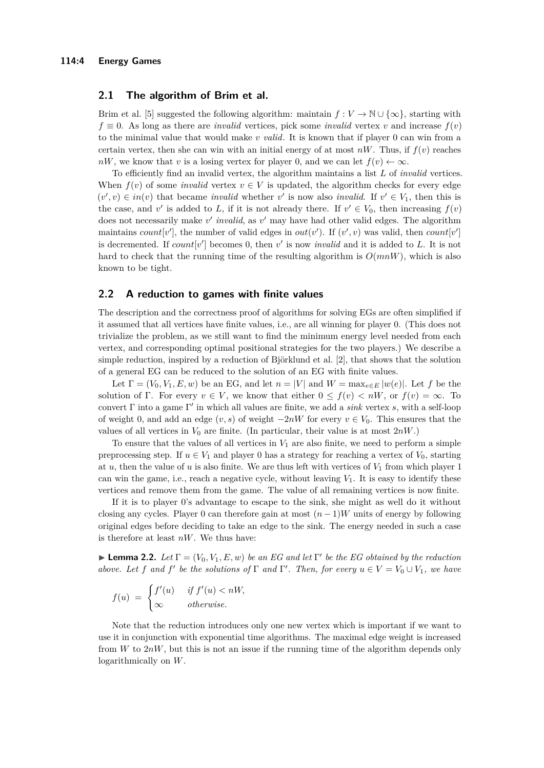### **2.1 The algorithm of Brim et al.**

Brim et al. [\[5\]](#page-12-10) suggested the following algorithm: maintain  $f: V \to \mathbb{N} \cup \{\infty\}$ , starting with  $f \equiv 0$ . As long as there are *invalid* vertices, pick some *invalid* vertex *v* and increase  $f(v)$ to the minimal value that would make *v valid*. It is known that if player 0 can win from a certain vertex, then she can win with an initial energy of at most  $nW$ . Thus, if  $f(v)$  reaches *nW*, we know that *v* is a losing vertex for player 0, and we can let  $f(v) \leftarrow \infty$ .

To efficiently find an invalid vertex, the algorithm maintains a list *L* of *invalid* vertices. When  $f(v)$  of some *invalid* vertex  $v \in V$  is updated, the algorithm checks for every edge  $(v', v) \in in(v)$  that became *invalid* whether *v*' is now also *invalid*. If  $v' \in V_1$ , then this is the case, and *v*' is added to *L*, if it is not already there. If  $v' \in V_0$ , then increasing  $f(v)$ does not necessarily make *v'* invalid, as *v'* may have had other valid edges. The algorithm maintains *count*[*v*<sup>'</sup>], the number of valid edges in *out*(*v*<sup>'</sup>). If (*v*<sup>'</sup>, *v*) was valid, then *count*[*v*<sup>'</sup>] is decremented. If  $count[v']$  becomes 0, then  $v'$  is now *invalid* and it is added to *L*. It is not hard to check that the running time of the resulting algorithm is  $O(mnW)$ , which is also known to be tight.

## **2.2 A reduction to games with finite values**

The description and the correctness proof of algorithms for solving EGs are often simplified if it assumed that all vertices have finite values, i.e., are all winning for player 0. (This does not trivialize the problem, as we still want to find the minimum energy level needed from each vertex, and corresponding optimal positional strategies for the two players.) We describe a simple reduction, inspired by a reduction of Björklund et al. [\[2\]](#page-12-9), that shows that the solution of a general EG can be reduced to the solution of an EG with finite values.

Let  $\Gamma = (V_0, V_1, E, w)$  be an EG, and let  $n = |V|$  and  $W = \max_{e \in E} |w(e)|$ . Let f be the solution of Γ. For every  $v \in V$ , we know that either  $0 \leq f(v) < nW$ , or  $f(v) = \infty$ . To convert Γ into a game Γ 0 in which all values are finite, we add a *sink* vertex *s*, with a self-loop of weight 0, and add an edge (*v, s*) of weight −2*nW* for every *v* ∈ *V*0. This ensures that the values of all vertices in  $V_0$  are finite. (In particular, their value is at most  $2nW$ .)

To ensure that the values of all vertices in  $V_1$  are also finite, we need to perform a simple preprocessing step. If  $u \in V_1$  and player 0 has a strategy for reaching a vertex of  $V_0$ , starting at *u*, then the value of *u* is also finite. We are thus left with vertices of *V*<sup>1</sup> from which player 1 can win the game, i.e., reach a negative cycle, without leaving  $V_1$ . It is easy to identify these vertices and remove them from the game. The value of all remaining vertices is now finite.

If it is to player 0's advantage to escape to the sink, she might as well do it without closing any cycles. Player 0 can therefore gain at most  $(n-1)W$  units of energy by following original edges before deciding to take an edge to the sink. The energy needed in such a case is therefore at least *nW*. We thus have:

**Lemma 2.2.** *Let*  $\Gamma = (V_0, V_1, E, w)$  *be an EG and let*  $\Gamma'$  *be the EG obtained by the reduction above. Let f* and *f*' be the solutions of  $\Gamma$  *and*  $\Gamma'$ . Then, for every  $u \in V = V_0 \cup V_1$ , we have

$$
f(u) = \begin{cases} f'(u) & \text{if } f'(u) < nW, \\ \infty & \text{otherwise.} \end{cases}
$$

Note that the reduction introduces only one new vertex which is important if we want to use it in conjunction with exponential time algorithms. The maximal edge weight is increased from *W* to 2*nW*, but this is not an issue if the running time of the algorithm depends only logarithmically on *W*.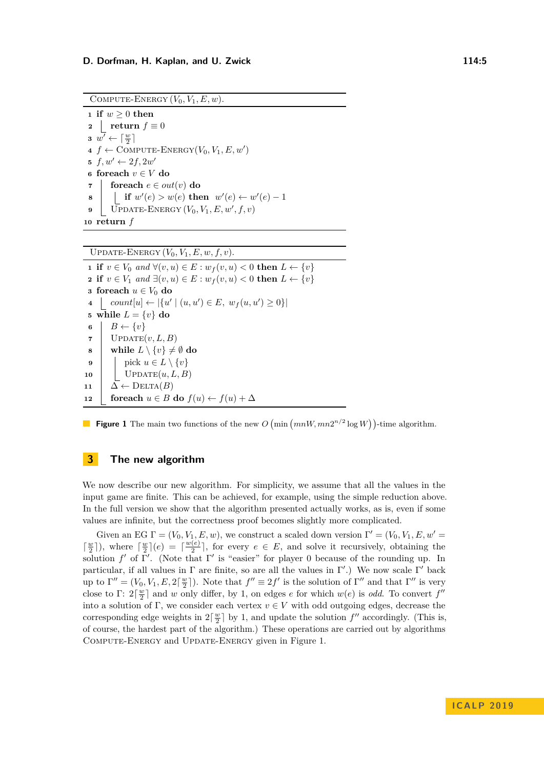<span id="page-4-1"></span>COMPUTE-ENERGY  $(V_0, V_1, E, w)$ .

 **if**  $w \geq 0$  **then**  *return*  $f \equiv 0$  $\overline{w'} \leftarrow \lceil \frac{w}{2} \rceil$  $4 f \leftarrow \text{COMPUTE-ENERGY}(V_0, V_1, E, w')$  $f, w' \leftarrow 2f, 2w'$  **foreach** *v* ∈ *V* **do foreach**  $e \in out(v)$  **do i if**  $w'(e) > w(e)$  then  $w'(e) \leftarrow w'(e) - 1$   $\overline{\text{UPDATE-ENERGY}} (V_0, V_1, E, w', f, v)$ **<sup>10</sup> return** *f*

 $\overline{\text{UPDATE-ENERGY}(V_0, V_1, E, w, f, v)}$ .

 **if**  $v \in V_0$  *and* ∀(*v, u*) ∈ *E* :  $w_f(v, u) < 0$  **then**  $L \leftarrow \{v\}$  **if**  $v \in V_1$  *and* ∃ $(v, u) \in E : w_f(v, u) < 0$  **then**  $L \leftarrow \{v\}$  **foreach**  $u \in V_0$  **do**  $4 \mid count[u] \leftarrow |\{u' \mid (u, u') \in E, w_f(u, u') \geq 0\}|$  while  $L = \{v\}$  do  $\mathbf{6}$  |  $B \leftarrow \{v\}$  UPDATE $(v, L, B)$  **while**  $L \setminus \{v\} \neq \emptyset$  do | pick  $u \in L \setminus \{v\}$  UPDATE $(u, L, B)$   $\Delta \leftarrow \text{DELTA}(B)$ **foreach**  $u \in B$  **do**  $f(u) \leftarrow f(u) + \Delta$ 



# <span id="page-4-0"></span>**3 The new algorithm**

We now describe our new algorithm. For simplicity, we assume that all the values in the input game are finite. This can be achieved, for example, using the simple reduction above. In the full version we show that the algorithm presented actually works, as is, even if some values are infinite, but the correctness proof becomes slightly more complicated.

Given an EG  $\Gamma = (V_0, V_1, E, w)$ , we construct a scaled down version  $\Gamma' = (V_0, V_1, E, w')$  $\lceil \frac{w}{2} \rceil$ ), where  $\lceil \frac{w}{2} \rceil$ (*e*) =  $\lceil \frac{w(e)}{2} \rceil$  $\frac{e}{2}$ , for every  $e \in E$ , and solve it recursively, obtaining the solution  $f'$  of Γ'. (Note that Γ' is "easier" for player 0 because of the rounding up. In particular, if all values in  $\Gamma$  are finite, so are all the values in  $\Gamma'$ .) We now scale  $\Gamma'$  back up to  $\Gamma'' = (V_0, V_1, E, 2\lceil \frac{w}{2} \rceil)$ . Note that  $f'' \equiv 2f'$  is the solution of  $\Gamma''$  and that  $\Gamma''$  is very close to  $\Gamma: 2\lceil \frac{w}{2} \rceil$  and *w* only differ, by 1, on edges *e* for which  $w(e)$  is *odd*. To convert  $f''$ into a solution of Γ, we consider each vertex  $v \in V$  with odd outgoing edges, decrease the corresponding edge weights in  $2\left\lceil \frac{w}{2} \right\rceil$  by 1, and update the solution  $f''$  accordingly. (This is, of course, the hardest part of the algorithm.) These operations are carried out by algorithms Compute-Energy and Update-Energy given in Figure [1.](#page-4-1)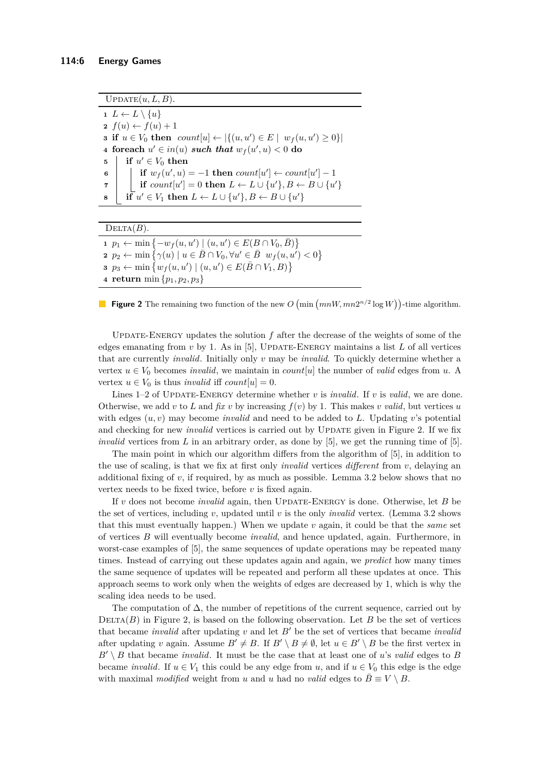<span id="page-5-0"></span> $UPDATE(u, L, B)$ . 1  $L \leftarrow L \setminus \{u\}$  $2 f(u) \leftarrow f(u) + 1$ **3 if**  $u \in V_0$  **then**  $count[u] \leftarrow |\{(u, u') \in E \mid w_f(u, u') \ge 0\}|$ **4** foreach  $u' \in in(u)$  such that  $w_f(u', u) < 0$  do  $\mathbf{5}$   $\mathbf{1}$  **if**  $u' \in V_0$  then **6**  $\vert$  **if**  $w_f(u', u) = -1$  **then**  $count[u'] \leftarrow count[u'] - 1$  $\begin{array}{ll} \mathbf{7} & | & | \quad \mathbf{if} \; count[u'] = 0 \; \mathbf{then} \; L \leftarrow L \cup \{u'\}, B \leftarrow B \cup \{u'\} \end{array}$  $\textbf{s} \quad | \quad \textbf{if} \ \ u' \in V_1 \ \textbf{then} \ \ L \leftarrow L \cup \{u'\}, B \leftarrow B \cup \{u'\}$ 

#### $DELTA(B)$ .

 *p*<sub>1</sub> ← min { $-w_f(u, u') | (u, u') \in E(B ∩ V_0, \overline{B})$ }  $p_2 \leftarrow \min \{ \gamma(u) \mid u \in \bar{B} \cap V_0, \forall u' \in \bar{B} \ w_f(u, u') < 0 \}$  *p*<sub>3</sub> ← min  $\{w_f(u, u') | (u, u') \in E(\bar{B} \cap V_1, B)\}$ **return** min {*p*1*, p*2*, p*3}

**Figure 2** The remaining two function of the new  $O(min(mnW, mn2^{n/2} \log W))$ -time algorithm.

UPDATE-ENERGY updates the solution  $f$  after the decrease of the weights of some of the edges emanating from  $v$  by 1. As in [\[5\]](#page-12-10), UPDATE-ENERGY maintains a list  $L$  of all vertices that are currently *invalid*. Initially only *v* may be *invalid*. To quickly determine whether a vertex  $u \in V_0$  becomes *invalid*, we maintain in *count*[*u*] the number of *valid* edges from *u*. A vertex  $u \in V_0$  is thus *invalid* iff *count*[ $u$ ] = 0.

Lines 1–2 of UPDATE-ENERGY determine whether *v* is *invalid*. If *v* is *valid*, we are done. Otherwise, we add *v* to *L* and *fix v* by increasing  $f(v)$  by 1. This makes *v valid*, but vertices *u* with edges (*u, v*) may become *invalid* and need to be added to *L*. Updating *v*'s potential and checking for new *invalid* vertices is carried out by UPDATE given in Figure [2.](#page-5-0) If we fix *invalid* vertices from *L* in an arbitrary order, as done by [\[5\]](#page-12-10), we get the running time of [\[5\]](#page-12-10).

The main point in which our algorithm differs from the algorithm of [\[5\]](#page-12-10), in addition to the use of scaling, is that we fix at first only *invalid* vertices *different* from *v*, delaying an additional fixing of *v*, if required, by as much as possible. Lemma [3.2](#page-6-0) below shows that no vertex needs to be fixed twice, before *v* is fixed again.

If *v* does not become *invalid* again, then Update-Energy is done. Otherwise, let *B* be the set of vertices, including *v*, updated until *v* is the only *invalid* vertex. (Lemma [3.2](#page-6-0) shows that this must eventually happen.) When we update *v* again, it could be that the *same* set of vertices *B* will eventually become *invalid*, and hence updated, again. Furthermore, in worst-case examples of [\[5\]](#page-12-10), the same sequences of update operations may be repeated many times. Instead of carrying out these updates again and again, we *predict* how many times the same sequence of updates will be repeated and perform all these updates at once. This approach seems to work only when the weights of edges are decreased by 1, which is why the scaling idea needs to be used.

The computation of  $\Delta$ , the number of repetitions of the current sequence, carried out by DELTA $(B)$  in Figure [2,](#page-5-0) is based on the following observation. Let  $B$  be the set of vertices that became *invalid* after updating  $v$  and let  $B'$  be the set of vertices that became *invalid* after updating *v* again. Assume  $B' \neq B$ . If  $B' \setminus B \neq \emptyset$ , let  $u \in B' \setminus B$  be the first vertex in  $B' \setminus B$  that became *invalid*. It must be the case that at least one of *u*'s *valid* edges to *B* became *invalid*. If  $u \in V_1$  this could be any edge from *u*, and if  $u \in V_0$  this edge is the edge with maximal *modified* weight from *u* and *u* had no *valid* edges to  $\overline{B} \equiv V \setminus B$ .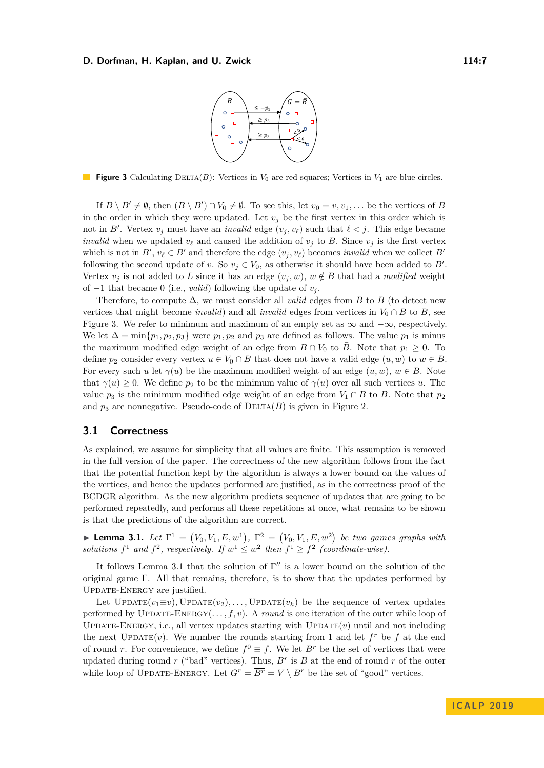

<span id="page-6-1"></span>**Figure 3** Calculating DELTA(*B*): Vertices in  $V_0$  are red squares; Vertices in  $V_1$  are blue circles.

If  $B \setminus B' \neq \emptyset$ , then  $(B \setminus B') \cap V_0 \neq \emptyset$ . To see this, let  $v_0 = v, v_1, \ldots$  be the vertices of *B* in the order in which they were updated. Let  $v_j$  be the first vertex in this order which is not in *B'*. Vertex  $v_j$  must have an *invalid* edge  $(v_j, v_\ell)$  such that  $\ell < j$ . This edge became *invalid* when we updated  $v_\ell$  and caused the addition of  $v_j$  to B. Since  $v_j$  is the first vertex which is not in  $B'$ ,  $v_{\ell} \in B'$  and therefore the edge  $(v_j, v_{\ell})$  becomes *invalid* when we collect  $B'$ following the second update of *v*. So  $v_j \in V_0$ , as otherwise it should have been added to *B'*. Vertex  $v_j$  is not added to *L* since it has an edge  $(v_j, w)$ ,  $w \notin B$  that had a *modified* weight of  $-1$  that became 0 (i.e., *valid*) following the update of  $v_i$ .

Therefore, to compute  $\Delta$ , we must consider all *valid* edges from  $\overline{B}$  to *B* (to detect new vertices that might become *invalid*) and all *invalid* edges from vertices in  $V_0 \cap B$  to *B*, see Figure [3.](#page-6-1) We refer to minimum and maximum of an empty set as  $\infty$  and  $-\infty$ , respectively. We let  $\Delta = \min\{p_1, p_2, p_3\}$  were  $p_1, p_2$  and  $p_3$  are defined as follows. The value  $p_1$  is minus the maximum modified edge weight of an edge from  $B \cap V_0$  to  $\overline{B}$ . Note that  $p_1 \geq 0$ . To define  $p_2$  consider every vertex  $u \in V_0 \cap B$  that does not have a valid edge  $(u, w)$  to  $w \in B$ . For every such *u* let  $\gamma(u)$  be the maximum modified weight of an edge  $(u, w)$ ,  $w \in B$ . Note that  $\gamma(u) \geq 0$ . We define  $p_2$  to be the minimum value of  $\gamma(u)$  over all such vertices *u*. The value  $p_3$  is the minimum modified edge weight of an edge from  $V_1 \cap \overline{B}$  to  $B$ . Note that  $p_2$ and  $p_3$  are nonnegative. Pseudo-code of  $DELTA(B)$  is given in Figure [2.](#page-5-0)

## <span id="page-6-3"></span>**3.1 Correctness**

As explained, we assume for simplicity that all values are finite. This assumption is removed in the full version of the paper. The correctness of the new algorithm follows from the fact that the potential function kept by the algorithm is always a lower bound on the values of the vertices, and hence the updates performed are justified, as in the correctness proof of the BCDGR algorithm. As the new algorithm predicts sequence of updates that are going to be performed repeatedly, and performs all these repetitions at once, what remains to be shown is that the predictions of the algorithm are correct.

<span id="page-6-2"></span>**Lemma 3.1.** Let  $\Gamma^1 = (V_0, V_1, E, w^1), \Gamma^2 = (V_0, V_1, E, w^2)$  be two games graphs with *solutions*  $f^1$  *and*  $f^2$ *, respectively. If*  $w^1 \leq w^2$  *then*  $f^1 \geq f^2$  *(coordinate-wise).* 

It follows Lemma [3.1](#page-6-2) that the solution of  $\Gamma''$  is a lower bound on the solution of the original game  $\Gamma$ . All that remains, therefore, is to show that the updates performed by UPDATE-ENERGY are justified.

<span id="page-6-0"></span>Let  $UPDATE(v_1 \equiv v)$ ,  $UPDATE(v_2)$ , ...,  $UPDATE(v_k)$  be the sequence of vertex updates performed by UPDATE-ENERGY $(\ldots, f, v)$ . A *round* is one iteration of the outer while loop of UPDATE-ENERGY, i.e., all vertex updates starting with  $\text{UPDATE}(v)$  until and not including the next  $\text{UPDATE}(v)$ . We number the rounds starting from 1 and let  $f^r$  be f at the end of round *r*. For convenience, we define  $f^0 \equiv f$ . We let  $B^r$  be the set of vertices that were updated during round  $r$  ("bad" vertices). Thus,  $B^r$  is  $B$  at the end of round  $r$  of the outer while loop of UPDATE-ENERGY. Let  $G^r = \overline{B^r} = V \setminus B^r$  be the set of "good" vertices.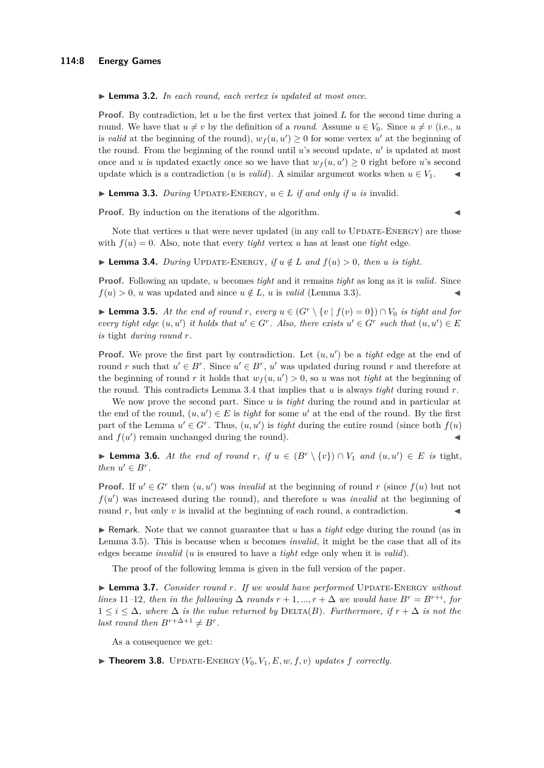I **Lemma 3.2.** *In each round, each vertex is updated at most once.*

**Proof.** By contradiction, let *u* be the first vertex that joined *L* for the second time during a round. We have that  $u \neq v$  by the definition of a *round*. Assume  $u \in V_0$ . Since  $u \neq v$  (i.e., *u* is *valid* at the beginning of the round),  $w_f(u, u') \geq 0$  for some vertex  $u'$  at the beginning of the round. From the beginning of the round until  $u$ 's second update,  $u'$  is updated at most once and *u* is updated exactly once so we have that  $w_f(u, u') \geq 0$  right before *u*'s second update which is a contradiction (*u* is *valid*). A similar argument works when  $u \in V_1$ .

<span id="page-7-0"></span>▶ **Lemma 3.3.** *During* UPDATE-ENERGY,  $u \in L$  *if and only if*  $u$  *is* invalid.

**Proof.** By induction on the iterations of the algorithm.

Note that vertices  $u$  that were never updated (in any call to UPDATE-ENERGY) are those with  $f(u) = 0$ . Also, note that every *tight* vertex *u* has at least one *tight* edge.

<span id="page-7-1"></span>▶ **Lemma 3.4.** *During* UPDATE-ENERGY, if  $u \notin L$  and  $f(u) > 0$ , then *u* is tight.

**Proof.** Following an update, *u* becomes *tight* and it remains *tight* as long as it is *valid*. Since  $f(u) > 0$ , *u* was updated and since  $u \notin L$ , *u* is *valid* (Lemma [3.3\)](#page-7-0).

<span id="page-7-2"></span>▶ **Lemma 3.5.** At the end of round r, every  $u \in (G^r \setminus \{v \mid f(v) = 0\}) \cap V_0$  is tight and for *every tight edge*  $(u, u')$  *it holds that*  $u' \in G^r$ . Also, there exists  $u' \in G^r$  such that  $(u, u') \in E$ *is* tight *during round r.*

**Proof.** We prove the first part by contradiction. Let  $(u, u')$  be a *tight* edge at the end of round *r* such that  $u' \in B^r$ . Since  $u' \in B^r$ ,  $u'$  was updated during round *r* and therefore at the beginning of round *r* it holds that  $w_f(u, u') > 0$ , so *u* was not *tight* at the beginning of the round. This contradicts Lemma [3.4](#page-7-1) that implies that *u* is always *tight* during round *r*.

We now prove the second part. Since *u* is *tight* during the round and in particular at the end of the round,  $(u, u') \in E$  is *tight* for some u' at the end of the round. By the first part of the Lemma  $u' \in G^r$ . Thus,  $(u, u')$  is *tight* during the entire round (since both  $f(u)$ ) and  $f(u')$  remain unchanged during the round).

<span id="page-7-4"></span>▶ **Lemma 3.6.** At the end of round  $r$ , if  $u \in (B^r \setminus \{v\}) \cap V_1$  and  $(u, u') \in E$  is tight, *then*  $u' \in B^r$ .

**Proof.** If  $u' \in G^r$  then  $(u, u')$  was *invalid* at the beginning of round *r* (since  $f(u)$  but not  $f(u')$  was increased during the round), and therefore  $u$  was *invalid* at the beginning of round  $r$ , but only  $v$  is invalid at the beginning of each round, a contradiction.

 $\triangleright$  Remark. Note that we cannot guarantee that *u* has a *tight* edge during the round (as in Lemma [3.5\)](#page-7-2). This is because when *u* becomes *invalid*, it might be the case that all of its edges became *invalid* (*u* is ensured to have a *tight* edge only when it is *valid*).

The proof of the following lemma is given in the full version of the paper.

<span id="page-7-3"></span>▶ **Lemma 3.7.** *Consider round r. If we would have performed* UPDATE-ENERGY *without lines* 11–12, then in the following  $\Delta$  *rounds*  $r + 1, ..., r + \Delta$  *we would have*  $B^r = B^{r+i}$ , for  $1 \leq i \leq \Delta$ , where  $\Delta$  *is the value returned by* DELTA(*B*)*. Furthermore, if*  $r + \Delta$  *is not the last round then*  $B^{r+\Delta+1} \neq B^r$ .

As a consequence we get:

 $\blacktriangleright$  **Theorem 3.8.** UPDATE-ENERGY  $(V_0, V_1, E, w, f, v)$  *updates*  $f$  *correctly.*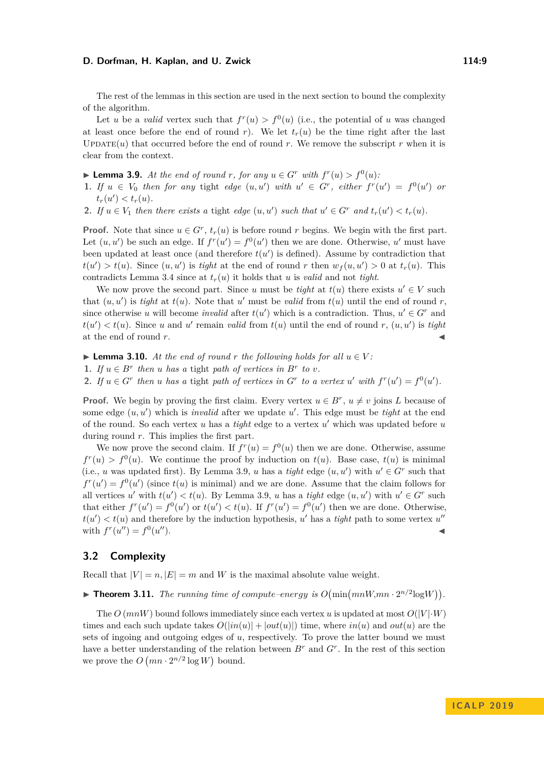The rest of the lemmas in this section are used in the next section to bound the complexity of the algorithm.

Let *u* be a *valid* vertex such that  $f'(u) > f^{0}(u)$  (i.e., the potential of *u* was changed at least once before the end of round *r*). We let  $t_r(u)$  be the time right after the last UPDATE $(u)$  that occurred before the end of round *r*. We remove the subscript *r* when it is clear from the context.

<span id="page-8-0"></span>▶ **Lemma 3.9.** At the end of round *r*, for any  $u \in G^r$  with  $f^r(u) > f^0(u)$ :

- 1. If  $u \in V_0$  then for any tight edge  $(u, u')$  with  $u' \in G^r$ , either  $f^r(u') = f^0(u')$  or  $t_r(u') < t_r(u)$ .
- 2. If  $u \in V_1$  then there exists a tight edge  $(u, u')$  such that  $u' \in G^r$  and  $t_r(u') < t_r(u)$ .

**Proof.** Note that since  $u \in G^r$ ,  $t_r(u)$  is before round *r* begins. We begin with the first part. Let  $(u, u')$  be such an edge. If  $f''(u') = f^{0}(u')$  then we are done. Otherwise, *u'* must have been updated at least once (and therefore  $t(u')$  is defined). Assume by contradiction that  $t(u') > t(u)$ . Since  $(u, u')$  is *tight* at the end of round *r* then  $w_f(u, u') > 0$  at  $t_r(u)$ . This contradicts Lemma [3.4](#page-7-1) since at  $t_r(u)$  it holds that *u* is *valid* and not *tight*.

We now prove the second part. Since *u* must be *tight* at  $t(u)$  there exists  $u' \in V$  such that  $(u, u')$  is *tight* at  $t(u)$ . Note that  $u'$  must be *valid* from  $t(u)$  until the end of round *r*, since otherwise *u* will become *invalid* after  $t(u')$  which is a contradiction. Thus,  $u' \in G^r$  and  $t(u') < t(u)$ . Since *u* and *u*<sup>*'*</sup> remain *valid* from  $t(u)$  until the end of round *r*,  $(u, u')$  is *tight* at the end of round r.

<span id="page-8-1"></span>▶ **Lemma 3.10.** At the end of round  $r$  the following holds for all  $u \in V$ :

**1.** *If*  $u \in B^r$  *then u has a* tight *path of vertices in*  $B^r$  *to v*.

2. If  $u \in G^r$  then u has a tight path of vertices in  $G^r$  to a vertex u' with  $f^r(u') = f^0(u')$ .

**Proof.** We begin by proving the first claim. Every vertex  $u \in B^r$ ,  $u \neq v$  joins *L* because of some edge  $(u, u')$  which is *invalid* after we update  $u'$ . This edge must be *tight* at the end of the round. So each vertex  $u$  has a *tight* edge to a vertex  $u'$  which was updated before  $u$ during round *r*. This implies the first part.

We now prove the second claim. If  $f''(u) = f^{0}(u)$  then we are done. Otherwise, assume  $f^{r}(u) > f^{0}(u)$ . We continue the proof by induction on  $t(u)$ . Base case,  $t(u)$  is minimal (i.e., *u* was updated first). By Lemma [3.9,](#page-8-0) *u* has a *tight* edge  $(u, u')$  with  $u' \in G^r$  such that  $f^{r}(u') = f^{0}(u')$  (since  $t(u)$  is minimal) and we are done. Assume that the claim follows for all vertices *u'* with  $t(u') < t(u)$ . By Lemma [3.9,](#page-8-0) *u* has a *tight* edge  $(u, u')$  with  $u' \in G^r$  such that either  $f''(u') = f^{0}(u')$  or  $t(u') < t(u)$ . If  $f''(u') = f^{0}(u')$  then we are done. Otherwise,  $t(u') < t(u)$  and therefore by the induction hypothesis, *u*' has a *tight* path to some vertex *u*'' with  $f^r(u'') = f^0(u)$  $\alpha$ ).

## **3.2 Complexity**

<span id="page-8-2"></span>Recall that  $|V| = n$ ,  $|E| = m$  and *W* is the maximal absolute value weight.

# **Find 1.11.** The running time of compute-energy is  $O(\min(mnW,mn \cdot 2^{n/2}\log W))$ .

The  $O$  ( $mnW$ ) bound follows immediately since each vertex *u* is updated at most  $O(|V| \cdot W)$ times and each such update takes  $O(|in(u)| + |out(u)|)$  time, where  $in(u)$  and  $out(u)$  are the sets of ingoing and outgoing edges of *u*, respectively. To prove the latter bound we must have a better understanding of the relation between  $B<sup>r</sup>$  and  $G<sup>r</sup>$ . In the rest of this section we prove the  $O(mn \cdot 2^{n/2} \log W)$  bound.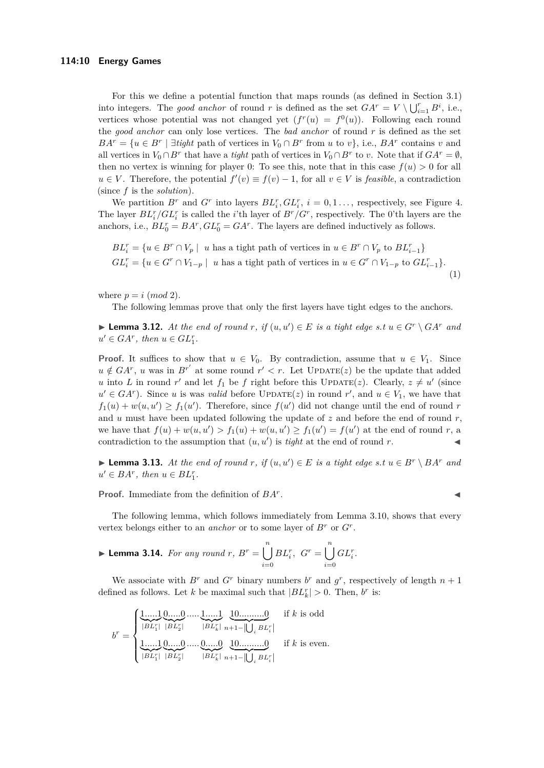For this we define a potential function that maps rounds (as defined in Section [3.1\)](#page-6-3) into integers. The *good anchor* of round *r* is defined as the set  $GA^r = V \setminus \bigcup_{i=1}^r B^i$ , i.e., vertices whose potential was not changed yet  $(f^r(u) = f^0(u))$ . Following each round the *good anchor* can only lose vertices. The *bad anchor* of round *r* is defined as the set  $BA^{r} = \{u \in B^{r} \mid \exists \text{tight path of vertices in } V_0 \cap B^{r} \text{ from } u \text{ to } v\}, \text{ i.e., } BA^{r} \text{ contains } v \text{ and } b^{r} \text{ and } b^{r} \text{ is a constant.}$ all vertices in  $V_0 \cap B^r$  that have a *tight* path of vertices in  $V_0 \cap B^r$  to *v*. Note that if  $GA^r = \emptyset$ , then no vertex is winning for player 0: To see this, note that in this case  $f(u) > 0$  for all  $u \in V$ . Therefore, the potential  $f'(v) \equiv f(v) - 1$ , for all  $v \in V$  is *feasible*, a contradiction (since *f* is the *solution*).

We partition  $B^r$  and  $G^r$  into layers  $BL_i^r$ ,  $GL_i^r$ ,  $i = 0, 1, \ldots$ , respectively, see Figure [4.](#page-10-0) The layer  $BL_i^r/GL_i^r$  is called the *i*'th layer of  $B^r/G^r$ , respectively. The 0'th layers are the anchors, i.e.,  $BL_0^r = BA^r$ ,  $GL_0^r = GA^r$ . The layers are defined inductively as follows.

$$
BL_i^r = \{ u \in B^r \cap V_p \mid u \text{ has a tight path of vertices in } u \in B^r \cap V_p \text{ to } BL_{i-1}^r \}
$$
  

$$
GL_i^r = \{ u \in G^r \cap V_{1-p} \mid u \text{ has a tight path of vertices in } u \in G^r \cap V_{1-p} \text{ to } GL_{i-1}^r \}.
$$
  
(1)

where  $p = i \pmod{2}$ .

The following lemmas prove that only the first layers have tight edges to the anchors.

▶ **Lemma 3.12.** At the end of round  $r$ , if  $(u, u') \in E$  is a tight edge s.t  $u \in G^r \setminus GA^r$  and  $u' \in GA^r$ , then  $u \in GL_1^r$ .

**Proof.** It suffices to show that  $u \in V_0$ . By contradiction, assume that  $u \in V_1$ . Since  $u \notin G A^r$ , *u* was in  $B^{r'}$  at some round  $r' < r$ . Let UPDATE(*z*) be the update that added *u* into *L* in round *r*<sup>'</sup> and let  $f_1$  be *f* right before this UPDATE(*z*). Clearly,  $z \neq u'$  (since  $u' \in GA^r$ ). Since *u* is was *valid* before UPDATE(*z*) in round *r*<sup>'</sup>, and  $u \in V_1$ , we have that  $f_1(u) + w(u, u') \ge f_1(u')$ . Therefore, since  $f(u')$  did not change until the end of round *r* and *u* must have been updated following the update of *z* and before the end of round *r*, we have that  $f(u) + w(u, u') > f_1(u) + w(u, u') \ge f_1(u') = f(u')$  at the end of round *r*, a contradiction to the assumption that  $(u, u')$  is *tight* at the end of round *r*.

▶ **Lemma 3.13.** At the end of round  $r$ , if  $(u, u') \in E$  is a tight edge s.t  $u \in B^r \setminus BA^r$  and  $u' \in BA^r$ , then  $u \in BL_1^r$ .

**Proof.** Immediate from the definition of *BA<sup>r</sup>*

<span id="page-9-0"></span>. J

The following lemma, which follows immediately from Lemma [3.10,](#page-8-1) shows that every vertex belongs either to an *anchor* or to some layer of  $B^r$  or  $G^r$ .

$$
\blacktriangleright \textbf{Lemma 3.14.} For any round } r, B^r = \bigcup_{i=0}^n BL_i^r, G^r = \bigcup_{i=0}^n GL_i^r.
$$

We associate with  $B^r$  and  $G^r$  binary numbers  $b^r$  and  $g^r$ , respectively of length  $n+1$ defined as follows. Let *k* be maximal such that  $|BL_k^r| > 0$ . Then, *b*<sup>*r*</sup> is:

$$
b^{r} = \begin{cases} \underbrace{1, \dots, 1}_{|BL_{1}^{r}|} \underbrace{0, \dots, 0}_{|BL_{2}^{r}|} \dots, \underbrace{1, \dots, 1}_{|BL_{k}^{r}|} \underbrace{10, \dots, \dots, 0}_{n+1-|\bigcup_{i} BL_{i}^{r}|} & \text{if } k \text{ is odd} \\ \underbrace{1, \dots, 1}_{|BL_{1}^{r}|} \underbrace{0, \dots, 0}_{|BL_{2}^{r}|} \dots, \underbrace{0, \dots, 0}_{|BL_{k}^{r}|} & \underbrace{10, \dots, \dots, 0}_{n+1-|\bigcup_{i} BL_{i}^{r}|} & \text{if } k \text{ is even.} \end{cases}
$$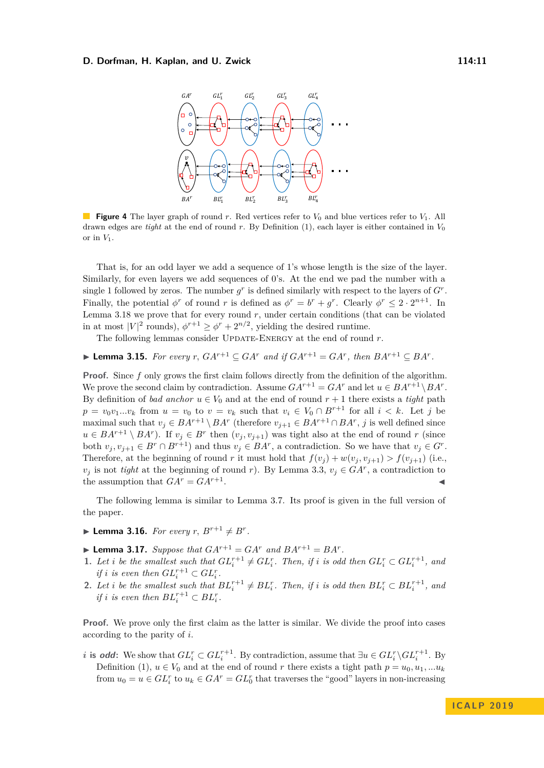<span id="page-10-0"></span>

**Figure 4** The layer graph of round *r*. Red vertices refer to  $V_0$  and blue vertices refer to  $V_1$ . All drawn edges are *tight* at the end of round *r*. By Definition [\(1\)](#page-9-0), each layer is either contained in  $V_0$ or in *V*1.

That is, for an odd layer we add a sequence of 1's whose length is the size of the layer. Similarly, for even layers we add sequences of 0's. At the end we pad the number with a single 1 followed by zeros. The number  $g<sup>r</sup>$  is defined similarly with respect to the layers of  $G<sup>r</sup>$ . Finally, the potential  $\phi^r$  of round *r* is defined as  $\phi^r = b^r + g^r$ . Clearly  $\phi^r \leq 2 \cdot 2^{n+1}$ . In Lemma [3.18](#page-11-1) we prove that for every round  $r$ , under certain conditions (that can be violated in at most  $|V|^2$  rounds),  $\phi^{r+1} \ge \phi^r + 2^{n/2}$ , yielding the desired runtime.

The following lemmas consider UPDATE-ENERGY at the end of round *r*.

<span id="page-10-2"></span>▶ **Lemma 3.15.** *For every r*,  $GA^{r+1} ⊆ GA^r$  *and if*  $GA^{r+1} = GA^r$ *, then*  $BA^{r+1} ⊆ BA^r$ *.* 

**Proof.** Since f only grows the first claim follows directly from the definition of the algorithm. We prove the second claim by contradiction. Assume  $GA^{r+1} = GA^r$  and let  $u \in BA^{r+1} \setminus BA^r$ . By definition of *bad anchor*  $u \in V_0$  and at the end of round  $r + 1$  there exists a *tight* path  $p = v_0v_1...v_k$  from  $u = v_0$  to  $v = v_k$  such that  $v_i \in V_0 \cap B^{r+1}$  for all  $i < k$ . Let *j* be maximal such that  $v_j \in BA^{r+1} \setminus BA^r$  (therefore  $v_{j+1} \in BA^{r+1} \cap BA^r$ , *j* is well defined since  $u \in BA^{r+1} \setminus BA^r$ ). If  $v_j \in B^r$  then  $(v_j, v_{j+1})$  was tight also at the end of round *r* (since both  $v_j, v_{j+1} \in B^r \cap B^{r+1}$  and thus  $v_j \in BA^r$ , a contradiction. So we have that  $v_j \in G^r$ . Therefore, at the beginning of round *r* it must hold that  $f(v_i) + w(v_i, v_{i+1}) > f(v_{i+1})$  (i.e., *v*<sup>*j*</sup> is not *tight* at the beginning of round *r*). By Lemma [3.3,](#page-7-0)  $v_j \in G A^r$ , a contradiction to the assumption that  $GA^r = GA^{r+1}$ . . J

The following lemma is similar to Lemma [3.7.](#page-7-3) Its proof is given in the full version of the paper.

 $\blacktriangleright$  **Lemma 3.16.** *For every r*,  $B^{r+1} \neq B^r$ .

<span id="page-10-1"></span> $\blacktriangleright$  **Lemma 3.17.** *Suppose that*  $GA^{r+1} = GA^r$  *and*  $BA^{r+1} = BA^r$ *.* 

- 1. Let i be the smallest such that  $GL_i^{r+1} \neq GL_i^r$ . Then, if i is odd then  $GL_i^r \subset GL_i^{r+1}$ , and *if i i s even then*  $GL_i^{r+1} \subset GL_i^r$ .
- **2.** Let i be the smallest such that  $BL_i^{r+1} \neq BL_i^r$ . Then, if i is odd then  $BL_i^r \subset BL_i^{r+1}$ , and *if i i s even then*  $BL_i^{r+1} \subset BL_i^r$ .

**Proof.** We prove only the first claim as the latter is similar. We divide the proof into cases according to the parity of *i*.

*i* **is odd:** We show that  $GL_i^r \subset GL_i^{r+1}$ . By contradiction, assume that  $\exists u \in GL_i^r \backslash GL_i^{r+1}$ . By Definition [\(1\)](#page-9-0),  $u \in V_0$  and at the end of round *r* there exists a tight path  $p = u_0, u_1, ... u_k$ from  $u_0 = u \in GL_i^r$  to  $u_k \in GA^r = GL_0^r$  that traverses the "good" layers in non-increasing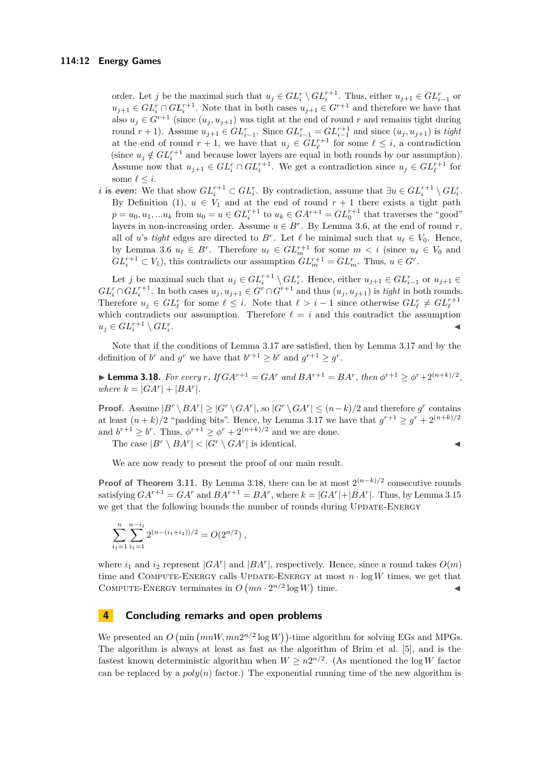order. Let *j* be the maximal such that  $u_j \in GL_i^r \setminus GL_i^{r+1}$ . Thus, either  $u_{j+1} \in GL_{i-1}^r$  or  $u_{j+1} \in GL_i^r \cap GL_i^{r+1}$ . Note that in both cases  $u_{j+1} \in G^{r+1}$  and therefore we have that also  $u_j \in G^{r+1}$  (since  $(u_j, u_{j+1})$  was tight at the end of round *r* and remains tight during round  $r + 1$ ). Assume  $u_{j+1} \in GL_{i-1}^r$ . Since  $GL_{i-1}^r = GL_{i-1}^{r+1}$  and since  $(u_j, u_{j+1})$  is *tight* at the end of round  $r + 1$ , we have that  $u_j \in GL_{\ell}^{r+1}$  for some  $\ell \leq i$ , a contradiction (since  $u_j \notin GL_i^{r+1}$  and because lower layers are equal in both rounds by our assumption). Assume now that  $u_{j+1} \in GL_i^r \cap GL_i^{r+1}$ . We get a contradiction since  $u_j \in GL_{\ell}^{r+1}$  for some  $\ell \leq i$ .

*i* is even: We that show  $GL_i^{r+1} \subset GL_i^r$ . By contradiction, assume that  $\exists u \in GL_i^{r+1} \setminus GL_i^r$ . By Definition [\(1\)](#page-9-0),  $u \in V_1$  and at the end of round  $r + 1$  there exists a tight path  $p = u_0, u_1, ... u_k$  from  $u_0 = u \in GL_i^{r+1}$  to  $u_k \in GA^{r+1} = GL_0^{r+1}$  that traverses the "good" layers in non-increasing order. Assume  $u \in B^r$ . By Lemma [3.6,](#page-7-4) at the end of round *r*, all of *u*'s *tight* edges are directed to  $B^r$ . Let  $\ell$  be minimal such that  $u_{\ell} \in V_0$ . Hence, by Lemma [3.6](#page-7-4)  $u_{\ell} \in B^r$ . Therefore  $u_{\ell} \in GL_m^{r+1}$  for some  $m < i$  (since  $u_{\ell} \in V_0$  and  $GL_i^{r+1} \subset V_1$ , this contradicts our assumption  $GL_m^{r+1} = GL_m^r$ . Thus,  $u \in G^r$ .

Let *j* be maximal such that  $u_j \in GL_i^{r+1} \setminus GL_i^r$ . Hence, either  $u_{j+1} \in GL_{i-1}^r$  or  $u_{j+1} \in$  $GL_i^r \cap GL_i^{r+1}$ . In both cases  $u_j, u_{j+1} \in G^r \cap G^{r+1}$  and thus  $(u_j, u_{j+1})$  is tight in both rounds. Therefore  $u_j \in GL_\ell^r$  for some  $\ell \leq i$ . Note that  $\ell > i - 1$  since otherwise  $GL_\ell^r \neq GL_\ell^{r+1}$ which contradicts our assumption. Therefore  $\ell = i$  and this contradict the assumption  $u_j \in GL_i^{r+1} \setminus GL_i^r$ . January 1980, and the control of the control of the control of the control of

Note that if the conditions of Lemma [3.17](#page-10-1) are satisfied, then by Lemma [3.17](#page-10-1) and by the definition of *b*<sup>*r*</sup> and *g*<sup>*r*</sup> we have that  $b^{r+1} \geq b^r$  and  $g^{r+1} \geq g^r$ .

<span id="page-11-1"></span>**Lemma 3.18.** For every r, If  $GA^{r+1} = GA^r$  and  $BA^{r+1} = BA^r$ , then  $\phi^{r+1} \ge \phi^r + 2^{(n+k)/2}$ , *where*  $k = |GA^r| + |BA^r|$ *.* 

**Proof.** Assume  $|B^r \setminus BA^r| \geq |G^r \setminus GA^r|$ , so  $|G^r \setminus GA^r| \leq (n-k)/2$  and therefore  $g^r$  contains at least  $(n+k)/2$  "padding bits". Hence, by Lemma [3.17](#page-10-1) we have that  $g^{r+1} \geq g^r + 2^{(n+k)/2}$ and  $b^{r+1} \geq b^r$ . Thus,  $\phi^{r+1} \geq \phi^r + 2^{(n+k)/2}$  and we are done. The case  $|B^r \setminus BA^r| < |G^r \setminus GA^r|$  is identical.

$$
\blacktriangleleft
$$

We are now ready to present the proof of our main result.

**Proof of Theorem [3.11.](#page-8-2)** By Lemma [3.18,](#page-11-1) there can be at most  $2^{(n-k)/2}$  consecutive rounds satisfying  $GA^{r+1} = GA^r$  and  $BA^{r+1} = BA^r$ , where  $k = |GA^r| + |BA^r|$ . Thus, by Lemma [3.15](#page-10-2) we get that the following bounds the number of rounds during UPDATE-ENERGY

$$
\sum_{i_1=1}^n \sum_{i_1=1}^{n-i_1} 2^{(n-(i_1+i_2))/2} = O(2^{n/2}),
$$

where  $i_1$  and  $i_2$  represent  $|GA^r|$  and  $|BA^r|$ , respectively. Hence, since a round takes  $O(m)$ time and COMPUTE-ENERGY calls UPDATE-ENERGY at most  $n \cdot \log W$  times, we get that COMPUTE-ENERGY terminates in  $O(mn \cdot 2^{n/2} \log W)$  time.

# <span id="page-11-0"></span>**4 Concluding remarks and open problems**

We presented an  $O(min(mnW, mn2^{n/2} \log W))$ -time algorithm for solving EGs and MPGs. The algorithm is always at least as fast as the algorithm of Brim et al. [\[5\]](#page-12-10), and is the fastest known deterministic algorithm when  $W \geq n2^{n/2}$ . (As mentioned the log *W* factor can be replaced by a  $poly(n)$  factor.) The exponential running time of the new algorithm is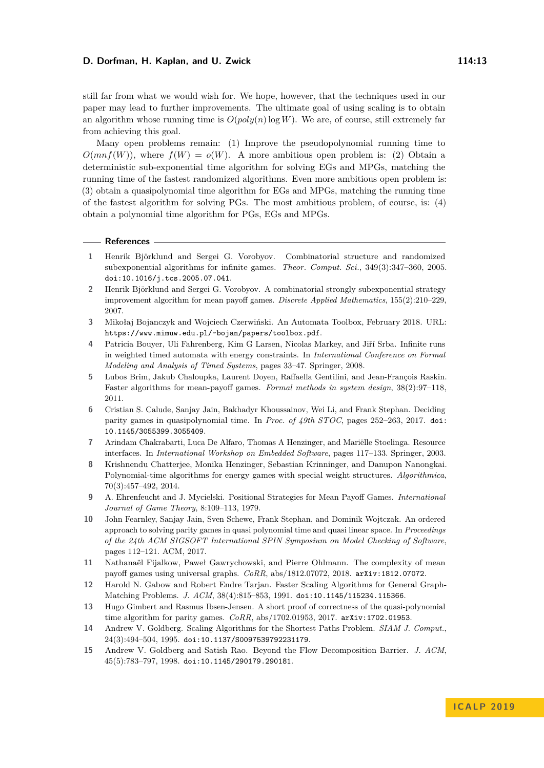still far from what we would wish for. We hope, however, that the techniques used in our paper may lead to further improvements. The ultimate goal of using scaling is to obtain an algorithm whose running time is  $O(poly(n) \log W)$ . We are, of course, still extremely far from achieving this goal.

Many open problems remain: (1) Improve the pseudopolynomial running time to  $O(mnf(W))$ , where  $f(W) = o(W)$ . A more ambitious open problem is: (2) Obtain a deterministic sub-exponential time algorithm for solving EGs and MPGs, matching the running time of the fastest randomized algorithms. Even more ambitious open problem is: (3) obtain a quasipolynomial time algorithm for EGs and MPGs, matching the running time of the fastest algorithm for solving PGs. The most ambitious problem, of course, is: (4) obtain a polynomial time algorithm for PGs, EGs and MPGs.

#### **References**

- <span id="page-12-8"></span>**1** Henrik Björklund and Sergei G. Vorobyov. Combinatorial structure and randomized subexponential algorithms for infinite games. *Theor. Comput. Sci.*, 349(3):347–360, 2005. [doi:10.1016/j.tcs.2005.07.041](http://dx.doi.org/10.1016/j.tcs.2005.07.041).
- <span id="page-12-9"></span>**2** Henrik Björklund and Sergei G. Vorobyov. A combinatorial strongly subexponential strategy improvement algorithm for mean payoff games. *Discrete Applied Mathematics*, 155(2):210–229, 2007.
- <span id="page-12-4"></span>**3** Mikołaj Bojanczyk and Wojciech Czerwiński. An Automata Toolbox, February 2018. URL: <https://www.mimuw.edu.pl/~bojan/papers/toolbox.pdf>.
- <span id="page-12-2"></span>**4** Patricia Bouyer, Uli Fahrenberg, Kim G Larsen, Nicolas Markey, and Jiří Srba. Infinite runs in weighted timed automata with energy constraints. In *International Conference on Formal Modeling and Analysis of Timed Systems*, pages 33–47. Springer, 2008.
- <span id="page-12-10"></span>**5** Lubos Brim, Jakub Chaloupka, Laurent Doyen, Raffaella Gentilini, and Jean-François Raskin. Faster algorithms for mean-payoff games. *Formal methods in system design*, 38(2):97–118, 2011.
- <span id="page-12-3"></span>**6** Cristian S. Calude, Sanjay Jain, Bakhadyr Khoussainov, Wei Li, and Frank Stephan. Deciding parity games in quasipolynomial time. In *Proc. of 49th STOC*, pages 252–263, 2017. [doi:](http://dx.doi.org/10.1145/3055399.3055409) [10.1145/3055399.3055409](http://dx.doi.org/10.1145/3055399.3055409).
- <span id="page-12-1"></span>**7** Arindam Chakrabarti, Luca De Alfaro, Thomas A Henzinger, and Mariëlle Stoelinga. Resource interfaces. In *International Workshop on Embedded Software*, pages 117–133. Springer, 2003.
- <span id="page-12-11"></span>**8** Krishnendu Chatterjee, Monika Henzinger, Sebastian Krinninger, and Danupon Nanongkai. Polynomial-time algorithms for energy games with special weight structures. *Algorithmica*, 70(3):457–492, 2014.
- <span id="page-12-0"></span>**9** A. Ehrenfeucht and J. Mycielski. Positional Strategies for Mean Payoff Games. *International Journal of Game Theory*, 8:109–113, 1979.
- <span id="page-12-5"></span>**10** John Fearnley, Sanjay Jain, Sven Schewe, Frank Stephan, and Dominik Wojtczak. An ordered approach to solving parity games in quasi polynomial time and quasi linear space. In *Proceedings of the 24th ACM SIGSOFT International SPIN Symposium on Model Checking of Software*, pages 112–121. ACM, 2017.
- <span id="page-12-7"></span>**11** Nathanaël Fijalkow, Paweł Gawrychowski, and Pierre Ohlmann. The complexity of mean payoff games using universal graphs. *CoRR*, abs/1812.07072, 2018. [arXiv:1812.07072](http://arxiv.org/abs/1812.07072).
- <span id="page-12-12"></span>**12** Harold N. Gabow and Robert Endre Tarjan. Faster Scaling Algorithms for General Graph-Matching Problems. *J. ACM*, 38(4):815–853, 1991. [doi:10.1145/115234.115366](http://dx.doi.org/10.1145/115234.115366).
- <span id="page-12-6"></span>**13** Hugo Gimbert and Rasmus Ibsen-Jensen. A short proof of correctness of the quasi-polynomial time algorithm for parity games. *CoRR*, abs/1702.01953, 2017. [arXiv:1702.01953](http://arxiv.org/abs/1702.01953).
- <span id="page-12-13"></span>**14** Andrew V. Goldberg. Scaling Algorithms for the Shortest Paths Problem. *SIAM J. Comput.*, 24(3):494–504, 1995. [doi:10.1137/S0097539792231179](http://dx.doi.org/10.1137/S0097539792231179).
- <span id="page-12-14"></span>**15** Andrew V. Goldberg and Satish Rao. Beyond the Flow Decomposition Barrier. *J. ACM*, 45(5):783–797, 1998. [doi:10.1145/290179.290181](http://dx.doi.org/10.1145/290179.290181).